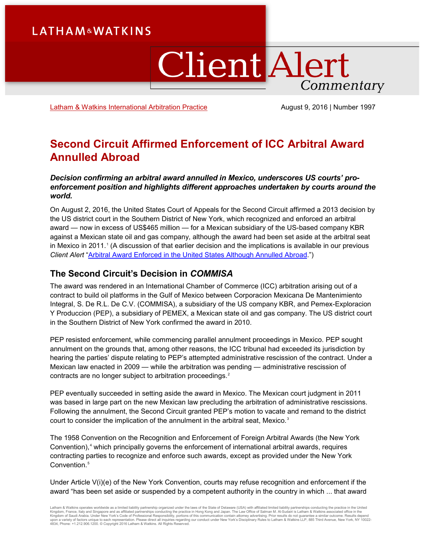# **LATHAM&WATKINS**

# **Client Alert** Commentary

[Latham & Watkins International Arbitration Practice](https://www.lw.com/practices/InternationalArbitration) **August 9, 2016** | Number 1997

# **Second Circuit Affirmed Enforcement of ICC Arbitral Award Annulled Abroad**

#### *Decision confirming an arbitral award annulled in Mexico, underscores US courts' proenforcement position and highlights different approaches undertaken by courts around the world.*

On August 2, 2016, the United States Court of Appeals for the Second Circuit affirmed a 2013 decision by the US district court in the Southern District of New York, which recognized and enforced an arbitral award — now in excess of US\$465 million — for a Mexican subsidiary of the US-based company KBR against a Mexican state oil and gas company, although the award had been set aside at the arbitral seat in Mexico in 20[1](#page-6-0)1.<sup>1</sup> (A discussion of that earlier decision and the implications is available in our previous *Client Alert* ["Arbitral Award Enforced in the United States Although Annulled Abroad.](https://www.lw.com/thoughtLeadership/LW-commissa-arbitral-award-Mexico)")

## **The Second Circuit's Decision in** *COMMISA*

The award was rendered in an International Chamber of Commerce (ICC) arbitration arising out of a contract to build oil platforms in the Gulf of Mexico between Corporacion Mexicana De Mantenimiento Integral, S. De R.L. De C.V. (COMMISA), a subsidiary of the US company KBR, and Pemex-Exploracion Y Produccion (PEP), a subsidiary of PEMEX, a Mexican state oil and gas company. The US district court in the Southern District of New York confirmed the award in 2010.

PEP resisted enforcement, while commencing parallel annulment proceedings in Mexico. PEP sought annulment on the grounds that, among other reasons, the ICC tribunal had exceeded its jurisdiction by hearing the parties' dispute relating to PEP's attempted administrative rescission of the contract. Under a Mexican law enacted in 2009 — while the arbitration was pending — administrative rescission of contracts are no longer subject to arbitration proceedings.<sup>[2](#page-6-1)</sup>

PEP eventually succeeded in setting aside the award in Mexico. The Mexican court judgment in 2011 was based in large part on the new Mexican law precluding the arbitration of administrative rescissions. Following the annulment, the Second Circuit granted PEP's motion to vacate and remand to the district court to consider the implication of the annulment in the arbitral seat, Mexico.<sup>[3](#page-6-2)</sup>

The 1958 Convention on the Recognition and Enforcement of Foreign Arbitral Awards (the New York Convention),<sup>[4](#page-6-3)</sup> which principally governs the enforcement of international arbitral awards, requires contracting parties to recognize and enforce such awards, except as provided under the New York Convention.<sup>[5](#page-6-4)</sup>

Under Article V(i)(e) of the New York Convention, courts may refuse recognition and enforcement if the award "has been set aside or suspended by a competent authority in the country in which ... that award

Latham & Watkins operates wordwide as a limited liability partnership organized under the laws of the State of Delaware (USA) with affiliated plimited liability partnerships conducting the practice in the United Limited Li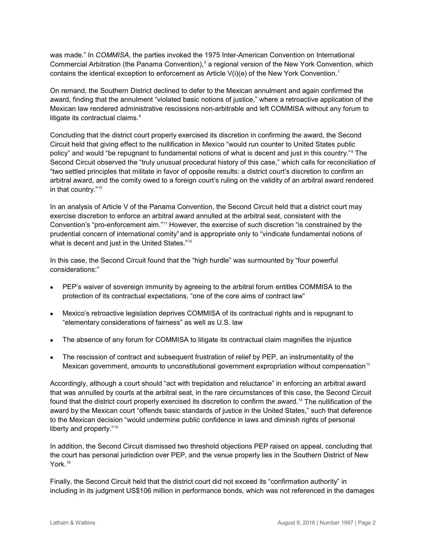was made." In *COMMISA*, the parties invoked the 1975 Inter-American Convention on International Commercial Arbitration (the Panama Convention),<sup>[6](#page-6-5)</sup> a regional version of the New York Convention, which contains the identical exception to enforcement as Article  $V(i)(e)$  of the New York Convention.<sup>[7](#page-6-6)</sup>

On remand, the Southern District declined to defer to the Mexican annulment and again confirmed the award, finding that the annulment "violated basic notions of justice," where a retroactive application of the Mexican law rendered administrative rescissions non-arbitrable and left COMMISA without any forum to litigate its contractual claims.<sup>[8](#page-6-7)</sup>

Concluding that the district court properly exercised its discretion in confirming the award, the Second Circuit held that giving effect to the nullification in Mexico "would run counter to United States public policy" and would "be repugnant to fundamental notions of what is decent and just in this country."[9](#page-6-8) The Second Circuit observed the "truly unusual procedural history of this case," which calls for reconciliation of "two settled principles that militate in favor of opposite results: a district court's discretion to confirm an arbitral award, and the comity owed to a foreign court's ruling on the validity of an arbitral award rendered in that country."<sup>[10](#page-6-9)</sup>

In an analysis of Article V of the Panama Convention, the Second Circuit held that a district court may exercise discretion to enforce an arbitral award annulled at the arbitral seat, consistent with the Convention's "pro-enforcement aim."[11](#page-6-10) However, the exercise of such discretion "is constrained by the prudential concern of international comity" and is appropriate only to "vindicate fundamental notions of what is decent and just in the United States."<sup>[12](#page-6-11)</sup>

In this case, the Second Circuit found that the "high hurdle" was surmounted by "four powerful considerations:"

- PEP's waiver of sovereign immunity by agreeing to the arbitral forum entitles COMMISA to the protection of its contractual expectations, "one of the core aims of contract law"
- Mexico's retroactive legislation deprives COMMISA of its contractual rights and is repugnant to "elementary considerations of fairness" as well as U.S. law
- The absence of any forum for COMMISA to litigate its contractual claim magnifies the injustice
- The rescission of contract and subsequent frustration of relief by PEP, an instrumentality of the Mexican government, amounts to unconstitutional government expropriation without compensation<sup>13</sup>

Accordingly, although a court should "act with trepidation and reluctance" in enforcing an arbitral award that was annulled by courts at the arbitral seat, in the rare circumstances of this case, the Second Circuit found that the district court properly exercised its discretion to confirm the award.<sup>[14](#page-6-13)</sup> The nullification of the award by the Mexican court "offends basic standards of justice in the United States," such that deference to the Mexican decision "would undermine public confidence in laws and diminish rights of personal liberty and property."<sup>[15](#page-6-14)</sup>

In addition, the Second Circuit dismissed two threshold objections PEP raised on appeal, concluding that the court has personal jurisdiction over PEP, and the venue properly lies in the Southern District of New York.<sup>[16](#page-6-15)</sup>

Finally, the Second Circuit held that the district court did not exceed its "confirmation authority" in including in its judgment US\$106 million in performance bonds, which was not referenced in the damages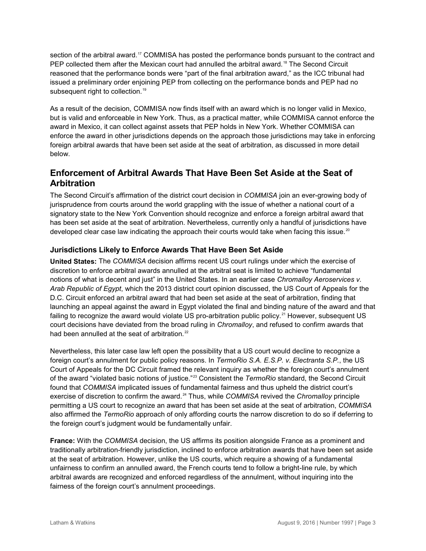section of the arbitral award.<sup>[17](#page-6-16)</sup> COMMISA has posted the performance bonds pursuant to the contract and PEP collected them after the Mexican court had annulled the arbitral award.<sup>[18](#page-6-17)</sup> The Second Circuit reasoned that the performance bonds were "part of the final arbitration award," as the ICC tribunal had issued a preliminary order enjoining PEP from collecting on the performance bonds and PEP had no subsequent right to collection.<sup>[19](#page-6-18)</sup>

As a result of the decision, COMMISA now finds itself with an award which is no longer valid in Mexico, but is valid and enforceable in New York. Thus, as a practical matter, while COMMISA cannot enforce the award in Mexico, it can collect against assets that PEP holds in New York. Whether COMMISA can enforce the award in other jurisdictions depends on the approach those jurisdictions may take in enforcing foreign arbitral awards that have been set aside at the seat of arbitration, as discussed in more detail below.

# **Enforcement of Arbitral Awards That Have Been Set Aside at the Seat of Arbitration**

The Second Circuit's affirmation of the district court decision in *COMMISA* join an ever-growing body of jurisprudence from courts around the world grappling with the issue of whether a national court of a signatory state to the New York Convention should recognize and enforce a foreign arbitral award that has been set aside at the seat of arbitration. Nevertheless, currently only a handful of jurisdictions have developed clear case law indicating the approach their courts would take when facing this issue.<sup>[20](#page-6-19)</sup>

### **Jurisdictions Likely to Enforce Awards That Have Been Set Aside**

**United States:** The *COMMISA* decision affirms recent US court rulings under which the exercise of discretion to enforce arbitral awards annulled at the arbitral seat is limited to achieve "fundamental notions of what is decent and just" in the United States. In an earlier case *Chromalloy Aeroservices v. Arab Republic of Egypt*, which the 2013 district court opinion discussed, the US Court of Appeals for the D.C. Circuit enforced an arbitral award that had been set aside at the seat of arbitration, finding that launching an appeal against the award in Egypt violated the final and binding nature of the award and that failing to recognize the award would violate US pro-arbitration public policy.<sup>[21](#page-6-20)</sup> However, subsequent US court decisions have deviated from the broad ruling in *Chromalloy*, and refused to confirm awards that had been annulled at the seat of arbitration.<sup>[22](#page-6-21)</sup>

Nevertheless, this later case law left open the possibility that a US court would decline to recognize a foreign court's annulment for public policy reasons. In *TermoRio S.A. E.S.P. v. Electranta S.P.*, the US Court of Appeals for the DC Circuit framed the relevant inquiry as whether the foreign court's annulment of the award "violated basic notions of justice." [23](#page-6-22) Consistent the *TermoRio* standard, the Second Circuit found that *COMMISA* implicated issues of fundamental fairness and thus upheld the district court's exercise of discretion to confirm the award. [24](#page-6-23) Thus, while *COMMISA* revived the *Chromalloy* principle permitting a US court to recognize an award that has been set aside at the seat of arbitration, *COMMISA* also affirmed the *TermoRio* approach of only affording courts the narrow discretion to do so if deferring to the foreign court's judgment would be fundamentally unfair.

**France:** With the *COMMISA* decision, the US affirms its position alongside France as a prominent and traditionally arbitration-friendly jurisdiction, inclined to enforce arbitration awards that have been set aside at the seat of arbitration. However, unlike the US courts, which require a showing of a fundamental unfairness to confirm an annulled award, the French courts tend to follow a bright-line rule, by which arbitral awards are recognized and enforced regardless of the annulment, without inquiring into the fairness of the foreign court's annulment proceedings.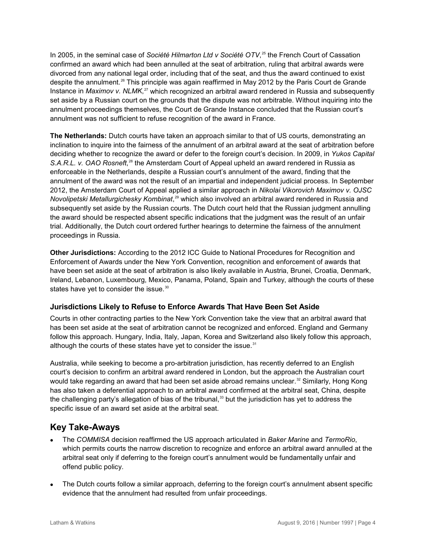In 2005, in the seminal case of *Société Hilmarton Ltd v Société OTV*, [25](#page-6-24) the French Court of Cassation confirmed an award which had been annulled at the seat of arbitration, ruling that arbitral awards were divorced from any national legal order, including that of the seat, and thus the award continued to exist despite the annulment.[26](#page-6-25) This principle was again reaffirmed in May 2012 by the Paris Court de Grande Instance in *Maximov v. NLMK*, [27](#page-6-26) which recognized an arbitral award rendered in Russia and subsequently set aside by a Russian court on the grounds that the dispute was not arbitrable. Without inquiring into the annulment proceedings themselves, the Court de Grande Instance concluded that the Russian court's annulment was not sufficient to refuse recognition of the award in France.

**The Netherlands:** Dutch courts have taken an approach similar to that of US courts, demonstrating an inclination to inquire into the fairness of the annulment of an arbitral award at the seat of arbitration before deciding whether to recognize the award or defer to the foreign court's decision. In 2009, in *Yukos Capital*  S.A.R.L. v. OAO Rosneft,<sup>[28](#page-6-27)</sup> the Amsterdam Court of Appeal upheld an award rendered in Russia as enforceable in the Netherlands, despite a Russian court's annulment of the award, finding that the annulment of the award was not the result of an impartial and independent judicial process. In September 2012, the Amsterdam Court of Appeal applied a similar approach in *Nikolai Vikorovich Maximov v. OJSC Novolipetski Metallurgichesky Kombinat*, [29](#page-6-28) which also involved an arbitral award rendered in Russia and subsequently set aside by the Russian courts. The Dutch court held that the Russian judgment annulling the award should be respected absent specific indications that the judgment was the result of an unfair trial. Additionally, the Dutch court ordered further hearings to determine the fairness of the annulment proceedings in Russia.

**Other Jurisdictions:** According to the 2012 ICC Guide to National Procedures for Recognition and Enforcement of Awards under the New York Convention, recognition and enforcement of awards that have been set aside at the seat of arbitration is also likely available in Austria, Brunei, Croatia, Denmark, Ireland, Lebanon, Luxembourg, Mexico, Panama, Poland, Spain and Turkey, although the courts of these states have yet to consider the issue.<sup>[30](#page-6-29)</sup>

#### **Jurisdictions Likely to Refuse to Enforce Awards That Have Been Set Aside**

Courts in other contracting parties to the New York Convention take the view that an arbitral award that has been set aside at the seat of arbitration cannot be recognized and enforced. England and Germany follow this approach. Hungary, India, Italy, Japan, Korea and Switzerland also likely follow this approach, although the courts of these states have yet to consider the issue.<sup>[31](#page-6-30)</sup>

Australia, while seeking to become a pro-arbitration jurisdiction, has recently deferred to an English court's decision to confirm an arbitral award rendered in London, but the approach the Australian court would take regarding an award that had been set aside abroad remains unclear.<sup>[32](#page-6-31)</sup> Similarly, Hong Kong has also taken a deferential approach to an arbitral award confirmed at the arbitral seat, China, despite the challenging party's allegation of bias of the tribunal, [33](#page-6-32) but the jurisdiction has yet to address the specific issue of an award set aside at the arbitral seat.

## **Key Take-Aways**

- The *COMMISA* decision reaffirmed the US approach articulated in *Baker Marine* and *TermoRio*, which permits courts the narrow discretion to recognize and enforce an arbitral award annulled at the arbitral seat only if deferring to the foreign court's annulment would be fundamentally unfair and offend public policy.
- The Dutch courts follow a similar approach, deferring to the foreign court's annulment absent specific evidence that the annulment had resulted from unfair proceedings.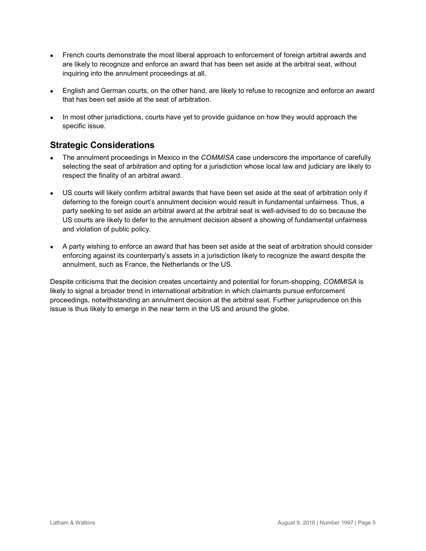- French courts demonstrate the most liberal approach to enforcement of foreign arbitral awards and are likely to recognize and enforce an award that has been set aside at the arbitral seat, without inquiring into the annulment proceedings at all.
- English and German courts, on the other hand, are likely to refuse to recognize and enforce an award that has been set aside at the seat of arbitration.
- In most other jurisdictions, courts have yet to provide guidance on how they would approach the specific issue.

# **Strategic Considerations**

- The annulment proceedings in Mexico in the *COMMISA* case underscore the importance of carefully selecting the seat of arbitration and opting for a jurisdiction whose local law and judiciary are likely to respect the finality of an arbitral award.
- US courts will likely confirm arbitral awards that have been set aside at the seat of arbitration only if deferring to the foreign court's annulment decision would result in fundamental unfairness. Thus, a party seeking to set aside an arbitral award at the arbitral seat is well-advised to do so because the US courts are likely to defer to the annulment decision absent a showing of fundamental unfairness and violation of public policy.
- A party wishing to enforce an award that has been set aside at the seat of arbitration should consider enforcing against its counterparty's assets in a jurisdiction likely to recognize the award despite the annulment, such as France, the Netherlands or the US.

Despite criticisms that the decision creates uncertainty and potential for forum-shopping, *COMMISA* is likely to signal a broader trend in international arbitration in which claimants pursue enforcement proceedings, notwithstanding an annulment decision at the arbitral seat. Further jurisprudence on this issue is thus likely to emerge in the near term in the US and around the globe.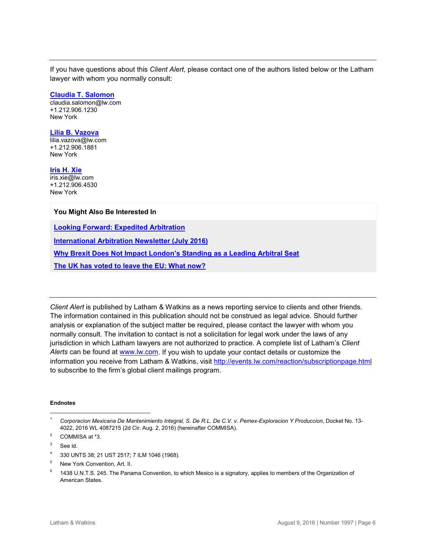If you have questions about this *Client Alert*, please contact one of the authors listed below or the Latham lawyer with whom you normally consult:

#### **[Claudia T. Salomon](https://www.lw.com/people/claudia-salomon)**

[claudia.salomon@lw.com](mailto:claudia.salomon@lw.com) +1.212.906.1230 New York

#### **[Lilia B. Vazova](https://www.lw.com/people/LiliaBVazova)**

[lilia.vazova@lw.com](mailto:lilia.vazova@lw.com) +1.212.906.1881 New York

**[Iris H. Xie](https://www.lw.com/people/hanyu-xie)** [iris.xie@lw.com](mailto:iris.xie@lw.com) +1.212.906.4530 New York

#### **You Might Also Be Interested In**

**[Looking Forward: Expedited Arbitration](http://www.latham.london/2016/07/looking-forward-expedited-arbitration/?utm_source=feedburner&utm_medium=feed&utm_campaign=Feed%3A+Lathamlondon+%28Latham.London%29)** 

**[International Arbitration Newsletter \(July 2016\)](https://www.lw.com/thoughtLeadership/lw-international-arbitration-newsletter-July-2016)**

**[Why Brexit Does Not Impact London's Standing as a Leading Arbitral Seat](http://www.latham.london/2016/06/why-brexit-does-not-impact-londons-standing-as-a-leading-arbitral-seat/?utm_source=feedburner&utm_medium=feed&utm_campaign=Feed%3A+Lathamlondon+%28Latham.London%29)**

**[The UK has voted to leave the EU: What now?](https://www.lw.com/thoughtLeadership/the-UK-has-voted-to-leave-the-EU-what-now)**

*Client Alert* is published by Latham & Watkins as a news reporting service to clients and other friends. The information contained in this publication should not be construed as legal advice. Should further analysis or explanation of the subject matter be required, please contact the lawyer with whom you normally consult. The invitation to contact is not a solicitation for legal work under the laws of any jurisdiction in which Latham lawyers are not authorized to practice. A complete list of Latham's *Client Alerts* can be found at [www.lw.com.](http://www.lw.com/) If you wish to update your contact details or customize the information you receive from Latham & Watkins, visit<http://events.lw.com/reaction/subscriptionpage.html> to subscribe to the firm's global client mailings program.

#### **Endnotes**

 $\overline{a}$ 

<sup>1</sup> *Corporacion Mexicana De Mantenimiento Integral, S. De R.L. De C.V. v. Pemex-Exploracion Y Produccion*, Docket No. 13- 4022, 2016 WL 4087215 (2d Cir. Aug. 2, 2016) (hereinafter COMMISA).

<sup>2</sup> COMMISA at \*3.

<sup>&</sup>lt;sup>3</sup> See id.

<sup>4</sup> 330 UNTS 38; 21 UST 2517; 7 ILM 1046 (1968).

<sup>5</sup> New York Convention, Art. II.

<sup>&</sup>lt;sup>6</sup> 1438 U.N.T.S. 245. The Panama Convention, to which Mexico is a signatory, applies to members of the Organization of American States.